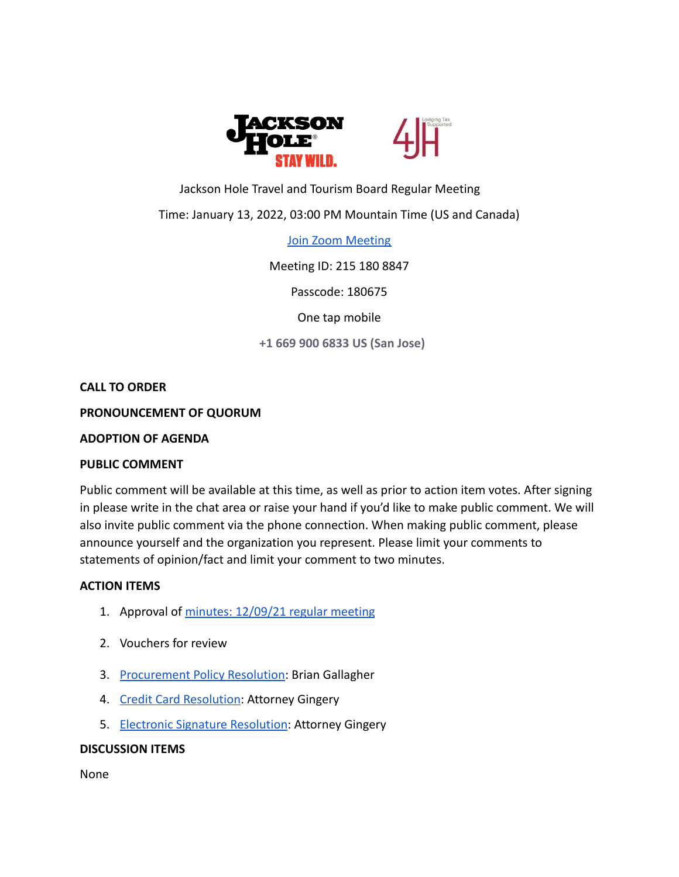

## Jackson Hole Travel and Tourism Board Regular Meeting

# Time: January 13, 2022, 03:00 PM Mountain Time (US and Canada)

[Join Zoom Meeting](https://us02web.zoom.us/j/2151808847?pwd=QktFU1RhY00vb3U3Ymt2TEVwcjJTUT09)

Meeting ID: 215 180 8847

Passcode: 180675

One tap mobile

**+1 669 900 6833 US (San Jose)**

**CALL TO ORDER**

#### **PRONOUNCEMENT OF QUORUM**

#### **ADOPTION OF AGENDA**

#### **PUBLIC COMMENT**

Public comment will be available at this time, as well as prior to action item votes. After signing in please write in the chat area or raise your hand if you'd like to make public comment. We will also invite public comment via the phone connection. When making public comment, please announce yourself and the organization you represent. Please limit your comments to statements of opinion/fact and limit your comment to two minutes.

#### **ACTION ITEMS**

- 1. Approval of [minutes: 12/09/21 regular meeting](https://drive.google.com/file/d/1zyQiS-mYxf633wMUp8fb3fecsEJzoxQ-/view?usp=sharing)
- 2. Vouchers for review
- 3. [Procurement Policy Resolution](https://www.tetoncountywy.gov/DocumentCenter/View/20862/Procurement-Policy-JHTTB-Janury-2022): Brian Gallagher
- 4. [Credit Card Resolution](https://www.tetoncountywy.gov/DocumentCenter/View/20860/Credit-Card-Resolution-JHTTB-January-2022): Attorney Gingery
- 5. [Electronic Signature Resolution](https://www.tetoncountywy.gov/DocumentCenter/View/20861/Electronic-Signature-Resolution-JHTTB-January-2022): Attorney Gingery

### **DISCUSSION ITEMS**

None